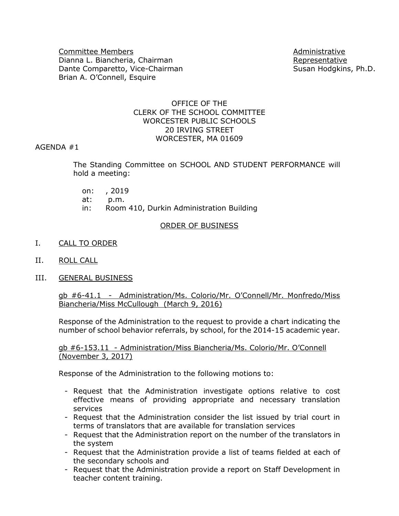Committee Members **Administrative** Committee Members **Administrative** Dianna L. Biancheria, Chairman Representative Representative Dante Comparetto, Vice-Chairman Susan Hodgkins, Ph.D. Brian A. O'Connell, Esquire

#### OFFICE OF THE CLERK OF THE SCHOOL COMMITTEE WORCESTER PUBLIC SCHOOLS 20 IRVING STREET WORCESTER, MA 01609

#### AGENDA #1

The Standing Committee on SCHOOL AND STUDENT PERFORMANCE will hold a meeting:

- on: , 2019
- at: p.m.
- in: Room 410, Durkin Administration Building

#### ORDER OF BUSINESS

- I. CALL TO ORDER
- II. ROLL CALL
- III. GENERAL BUSINESS

gb #6-41.1 - Administration/Ms. Colorio/Mr. O'Connell/Mr. Monfredo/Miss Biancheria/Miss McCullough (March 9, 2016)

Response of the Administration to the request to provide a chart indicating the number of school behavior referrals, by school, for the 2014-15 academic year.

gb #6-153.11 - Administration/Miss Biancheria/Ms. Colorio/Mr. O'Connell (November 3, 2017)

Response of the Administration to the following motions to:

- Request that the Administration investigate options relative to cost effective means of providing appropriate and necessary translation services
- Request that the Administration consider the list issued by trial court in terms of translators that are available for translation services
- Request that the Administration report on the number of the translators in the system
- Request that the Administration provide a list of teams fielded at each of the secondary schools and
- Request that the Administration provide a report on Staff Development in teacher content training.